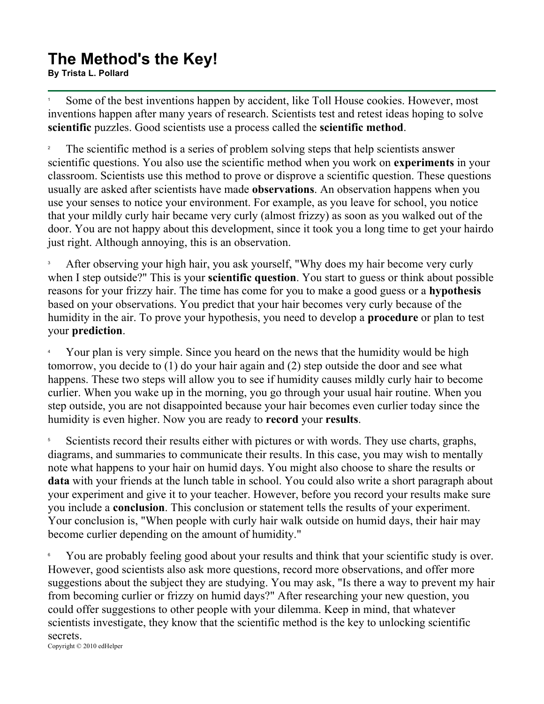## **The Method's the Key! By Trista L. Pollard**<br>By Trista L. Pollard

1 Some of the best inventions happen by accident, like Toll House cookies. However, most inventions happen after many years of research. Scientists test and retest ideas hoping to solve **scientific** puzzles. Good scientists use a process called the **scientific method**.

2 The scientific method is a series of problem solving steps that help scientists answer scientific questions. You also use the scientific method when you work on **experiments** in your classroom. Scientists use this method to prove or disprove a scientific question. These questions usually are asked after scientists have made **observations**. An observation happens when you use your senses to notice your environment. For example, as you leave for school, you notice that your mildly curly hair became very curly (almost frizzy) as soon as you walked out of the door. You are not happy about this development, since it took you a long time to get your hairdo just right. Although annoying, this is an observation.

3 After observing your high hair, you ask yourself, "Why does my hair become very curly when I step outside?" This is your **scientific question**. You start to guess or think about possible reasons for your frizzy hair. The time has come for you to make a good guess or a **hypothesis** based on your observations. You predict that your hair becomes very curly because of the humidity in the air. To prove your hypothesis, you need to develop a **procedure** or plan to test your **prediction**.

4 Your plan is very simple. Since you heard on the news that the humidity would be high tomorrow, you decide to (1) do your hair again and (2) step outside the door and see what happens. These two steps will allow you to see if humidity causes mildly curly hair to become curlier. When you wake up in the morning, you go through your usual hair routine. When you step outside, you are not disappointed because your hair becomes even curlier today since the humidity is even higher. Now you are ready to **record** your **results**.

5 Scientists record their results either with pictures or with words. They use charts, graphs, diagrams, and summaries to communicate their results. In this case, you may wish to mentally note what happens to your hair on humid days. You might also choose to share the results or **data** with your friends at the lunch table in school. You could also write a short paragraph about your experiment and give it to your teacher. However, before you record your results make sure you include a **conclusion**. This conclusion or statement tells the results of your experiment. Your conclusion is, "When people with curly hair walk outside on humid days, their hair may become curlier depending on the amount of humidity."

6 You are probably feeling good about your results and think that your scientific study is over. However, good scientists also ask more questions, record more observations, and offer more suggestions about the subject they are studying. You may ask, "Is there a way to prevent my hair from becoming curlier or frizzy on humid days?" After researching your new question, you could offer suggestions to other people with your dilemma. Keep in mind, that whatever scientists investigate, they know that the scientific method is the key to unlocking scientific secrets. Copyright © 2010 edHelper